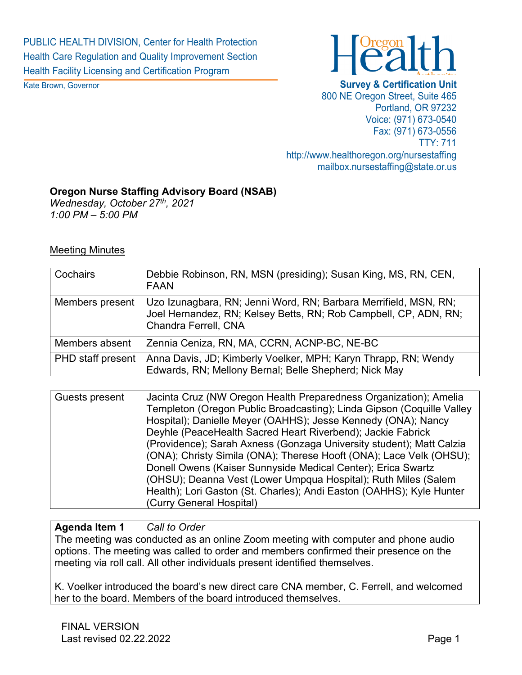PUBLIC HEALTH DIVISION, Center for Health Protection Health Care Regulation and Quality Improvement Section Health Facility Licensing and Certification Program

Kate Brown, Governor



#### **Survey & Certification Unit**

800 NE Oregon Street, Suite 465 Portland, OR 97232 Voice: (971) 673-0540 Fax: (971) 673-0556 TTY: 711 http://www.healthoregon.org/nursestaffing mailbox.nursestaffing@state.or.us

#### **Oregon Nurse Staffing Advisory Board (NSAB)**

*Wednesday, October 27th, 2021 1:00 PM – 5:00 PM*

### Meeting Minutes

| Cochairs                 | Debbie Robinson, RN, MSN (presiding); Susan King, MS, RN, CEN,<br><b>FAAN</b>                                                                                |
|--------------------------|--------------------------------------------------------------------------------------------------------------------------------------------------------------|
| Members present          | Uzo Izunagbara, RN; Jenni Word, RN; Barbara Merrifield, MSN, RN;<br>Joel Hernandez, RN; Kelsey Betts, RN; Rob Campbell, CP, ADN, RN;<br>Chandra Ferrell, CNA |
| Members absent           | Zennia Ceniza, RN, MA, CCRN, ACNP-BC, NE-BC                                                                                                                  |
| <b>PHD</b> staff present | Anna Davis, JD; Kimberly Voelker, MPH; Karyn Thrapp, RN; Wendy<br>Edwards, RN; Mellony Bernal; Belle Shepherd; Nick May                                      |

| Guests present | Jacinta Cruz (NW Oregon Health Preparedness Organization); Amelia     |
|----------------|-----------------------------------------------------------------------|
|                | Templeton (Oregon Public Broadcasting); Linda Gipson (Coquille Valley |
|                | Hospital); Danielle Meyer (OAHHS); Jesse Kennedy (ONA); Nancy         |
|                | Deyhle (PeaceHealth Sacred Heart Riverbend); Jackie Fabrick           |
|                | (Providence); Sarah Axness (Gonzaga University student); Matt Calzia  |
|                | (ONA); Christy Simila (ONA); Therese Hooft (ONA); Lace Velk (OHSU);   |
|                | Donell Owens (Kaiser Sunnyside Medical Center); Erica Swartz          |
|                | (OHSU); Deanna Vest (Lower Umpqua Hospital); Ruth Miles (Salem        |
|                | Health); Lori Gaston (St. Charles); Andi Easton (OAHHS); Kyle Hunter  |
|                | (Curry General Hospital)                                              |

#### **Agenda Item 1** *Call to Order*

The meeting was conducted as an online Zoom meeting with computer and phone audio options. The meeting was called to order and members confirmed their presence on the meeting via roll call. All other individuals present identified themselves.

K. Voelker introduced the board's new direct care CNA member, C. Ferrell, and welcomed her to the board. Members of the board introduced themselves.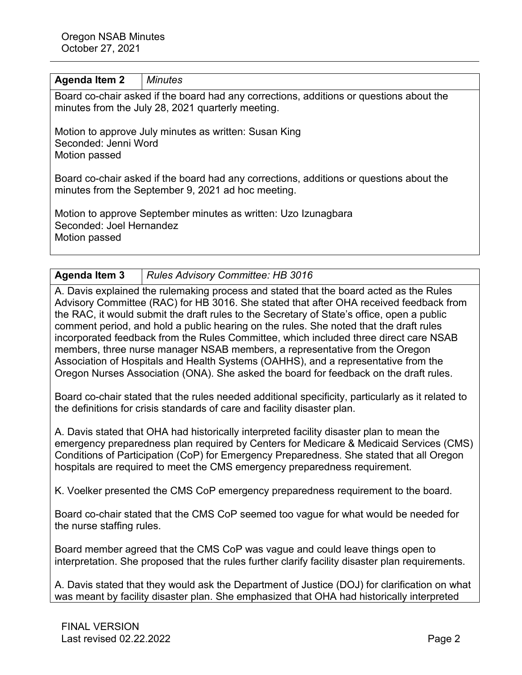#### **Agenda Item 2** *Minutes*

Board co-chair asked if the board had any corrections, additions or questions about the minutes from the July 28, 2021 quarterly meeting.

Motion to approve July minutes as written: Susan King Seconded: Jenni Word Motion passed

Board co-chair asked if the board had any corrections, additions or questions about the minutes from the September 9, 2021 ad hoc meeting.

Motion to approve September minutes as written: Uzo Izunagbara Seconded: Joel Hernandez Motion passed

**Agenda Item 3** *Rules Advisory Committee: HB 3016*

A. Davis explained the rulemaking process and stated that the board acted as the Rules Advisory Committee (RAC) for HB 3016. She stated that after OHA received feedback from the RAC, it would submit the draft rules to the Secretary of State's office, open a public comment period, and hold a public hearing on the rules. She noted that the draft rules incorporated feedback from the Rules Committee, which included three direct care NSAB members, three nurse manager NSAB members, a representative from the Oregon Association of Hospitals and Health Systems (OAHHS), and a representative from the Oregon Nurses Association (ONA). She asked the board for feedback on the draft rules.

Board co-chair stated that the rules needed additional specificity, particularly as it related to the definitions for crisis standards of care and facility disaster plan.

A. Davis stated that OHA had historically interpreted facility disaster plan to mean the emergency preparedness plan required by Centers for Medicare & Medicaid Services (CMS) Conditions of Participation (CoP) for Emergency Preparedness. She stated that all Oregon hospitals are required to meet the CMS emergency preparedness requirement.

K. Voelker presented the CMS CoP emergency preparedness requirement to the board.

Board co-chair stated that the CMS CoP seemed too vague for what would be needed for the nurse staffing rules.

Board member agreed that the CMS CoP was vague and could leave things open to interpretation. She proposed that the rules further clarify facility disaster plan requirements.

A. Davis stated that they would ask the Department of Justice (DOJ) for clarification on what was meant by facility disaster plan. She emphasized that OHA had historically interpreted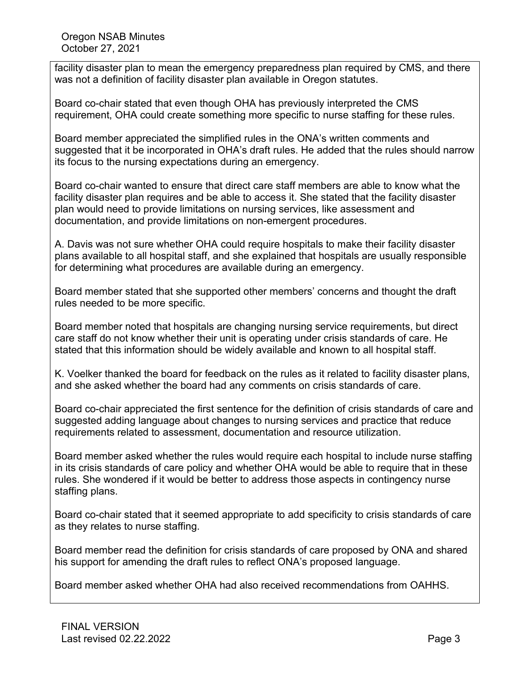Oregon NSAB Minutes October 27, 2021

facility disaster plan to mean the emergency preparedness plan required by CMS, and there was not a definition of facility disaster plan available in Oregon statutes.

Board co-chair stated that even though OHA has previously interpreted the CMS requirement, OHA could create something more specific to nurse staffing for these rules.

Board member appreciated the simplified rules in the ONA's written comments and suggested that it be incorporated in OHA's draft rules. He added that the rules should narrow its focus to the nursing expectations during an emergency.

Board co-chair wanted to ensure that direct care staff members are able to know what the facility disaster plan requires and be able to access it. She stated that the facility disaster plan would need to provide limitations on nursing services, like assessment and documentation, and provide limitations on non-emergent procedures.

A. Davis was not sure whether OHA could require hospitals to make their facility disaster plans available to all hospital staff, and she explained that hospitals are usually responsible for determining what procedures are available during an emergency.

Board member stated that she supported other members' concerns and thought the draft rules needed to be more specific.

Board member noted that hospitals are changing nursing service requirements, but direct care staff do not know whether their unit is operating under crisis standards of care. He stated that this information should be widely available and known to all hospital staff.

K. Voelker thanked the board for feedback on the rules as it related to facility disaster plans, and she asked whether the board had any comments on crisis standards of care.

Board co-chair appreciated the first sentence for the definition of crisis standards of care and suggested adding language about changes to nursing services and practice that reduce requirements related to assessment, documentation and resource utilization.

Board member asked whether the rules would require each hospital to include nurse staffing in its crisis standards of care policy and whether OHA would be able to require that in these rules. She wondered if it would be better to address those aspects in contingency nurse staffing plans.

Board co-chair stated that it seemed appropriate to add specificity to crisis standards of care as they relates to nurse staffing.

Board member read the definition for crisis standards of care proposed by ONA and shared his support for amending the draft rules to reflect ONA's proposed language.

Board member asked whether OHA had also received recommendations from OAHHS.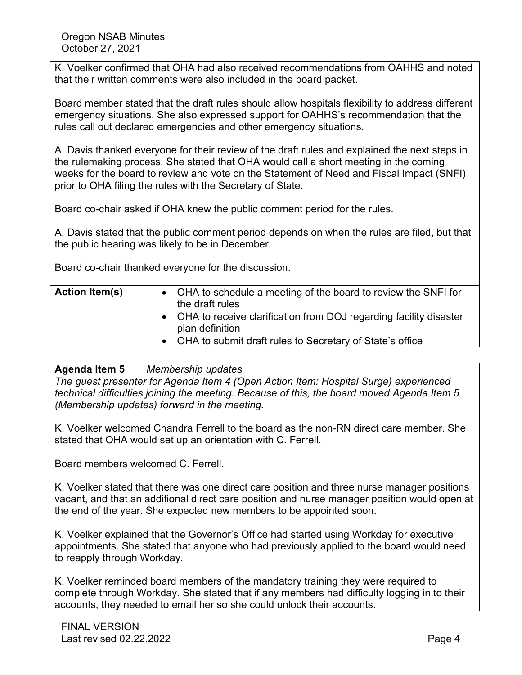K. Voelker confirmed that OHA had also received recommendations from OAHHS and noted that their written comments were also included in the board packet.

Board member stated that the draft rules should allow hospitals flexibility to address different emergency situations. She also expressed support for OAHHS's recommendation that the rules call out declared emergencies and other emergency situations.

A. Davis thanked everyone for their review of the draft rules and explained the next steps in the rulemaking process. She stated that OHA would call a short meeting in the coming weeks for the board to review and vote on the Statement of Need and Fiscal Impact (SNFI) prior to OHA filing the rules with the Secretary of State.

Board co-chair asked if OHA knew the public comment period for the rules.

A. Davis stated that the public comment period depends on when the rules are filed, but that the public hearing was likely to be in December.

Board co-chair thanked everyone for the discussion.

# **Agenda Item 5** *Membership updates*

*The guest presenter for Agenda Item 4 (Open Action Item: Hospital Surge) experienced technical difficulties joining the meeting. Because of this, the board moved Agenda Item 5 (Membership updates) forward in the meeting.*

K. Voelker welcomed Chandra Ferrell to the board as the non-RN direct care member. She stated that OHA would set up an orientation with C. Ferrell.

Board members welcomed C. Ferrell.

K. Voelker stated that there was one direct care position and three nurse manager positions vacant, and that an additional direct care position and nurse manager position would open at the end of the year. She expected new members to be appointed soon.

K. Voelker explained that the Governor's Office had started using Workday for executive appointments. She stated that anyone who had previously applied to the board would need to reapply through Workday.

K. Voelker reminded board members of the mandatory training they were required to complete through Workday. She stated that if any members had difficulty logging in to their accounts, they needed to email her so she could unlock their accounts.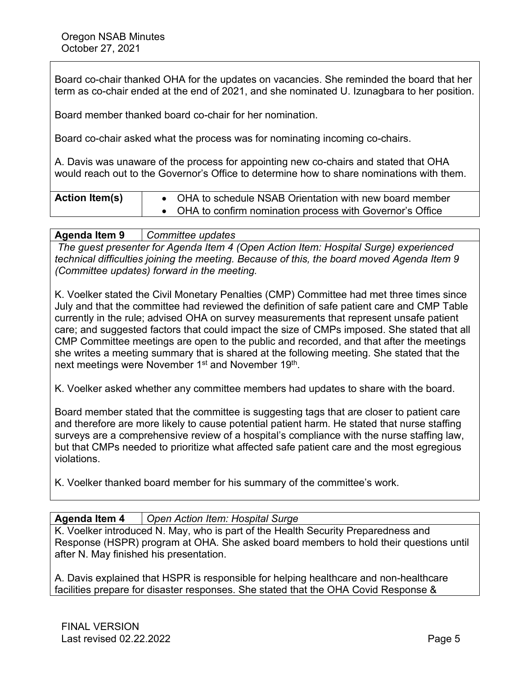Board co-chair thanked OHA for the updates on vacancies. She reminded the board that her term as co-chair ended at the end of 2021, and she nominated U. Izunagbara to her position.

Board member thanked board co-chair for her nomination.

Board co-chair asked what the process was for nominating incoming co-chairs.

A. Davis was unaware of the process for appointing new co-chairs and stated that OHA would reach out to the Governor's Office to determine how to share nominations with them.

| <b>Action Item(s)</b> | • OHA to schedule NSAB Orientation with new board member |
|-----------------------|----------------------------------------------------------|
|                       | OHA to confirm nomination process with Governor's Office |

#### **Agenda Item 9** *Committee updates*

*The guest presenter for Agenda Item 4 (Open Action Item: Hospital Surge) experienced technical difficulties joining the meeting. Because of this, the board moved Agenda Item 9 (Committee updates) forward in the meeting.*

K. Voelker stated the Civil Monetary Penalties (CMP) Committee had met three times since July and that the committee had reviewed the definition of safe patient care and CMP Table currently in the rule; advised OHA on survey measurements that represent unsafe patient care; and suggested factors that could impact the size of CMPs imposed. She stated that all CMP Committee meetings are open to the public and recorded, and that after the meetings she writes a meeting summary that is shared at the following meeting. She stated that the next meetings were November 1<sup>st</sup> and November 19<sup>th</sup>.

K. Voelker asked whether any committee members had updates to share with the board.

Board member stated that the committee is suggesting tags that are closer to patient care and therefore are more likely to cause potential patient harm. He stated that nurse staffing surveys are a comprehensive review of a hospital's compliance with the nurse staffing law, but that CMPs needed to prioritize what affected safe patient care and the most egregious violations.

K. Voelker thanked board member for his summary of the committee's work.

#### **Agenda Item 4** *Open Action Item: Hospital Surge*

K. Voelker introduced N. May, who is part of the Health Security Preparedness and Response (HSPR) program at OHA. She asked board members to hold their questions until after N. May finished his presentation.

A. Davis explained that HSPR is responsible for helping healthcare and non-healthcare facilities prepare for disaster responses. She stated that the OHA Covid Response &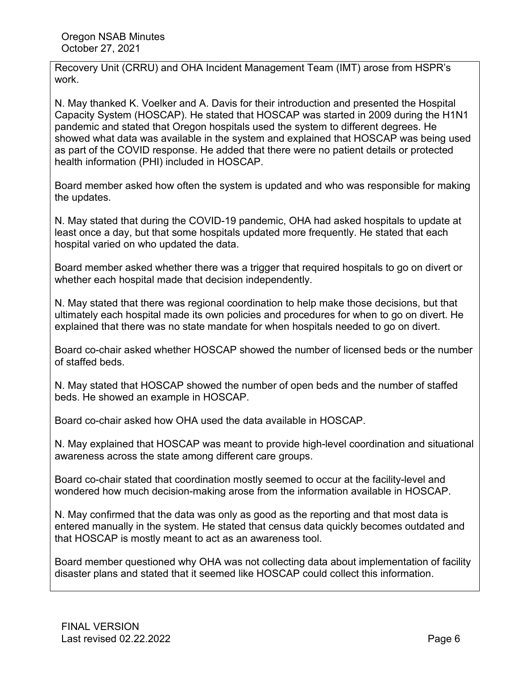Recovery Unit (CRRU) and OHA Incident Management Team (IMT) arose from HSPR's work.

N. May thanked K. Voelker and A. Davis for their introduction and presented the Hospital Capacity System (HOSCAP). He stated that HOSCAP was started in 2009 during the H1N1 pandemic and stated that Oregon hospitals used the system to different degrees. He showed what data was available in the system and explained that HOSCAP was being used as part of the COVID response. He added that there were no patient details or protected health information (PHI) included in HOSCAP.

Board member asked how often the system is updated and who was responsible for making the updates.

N. May stated that during the COVID-19 pandemic, OHA had asked hospitals to update at least once a day, but that some hospitals updated more frequently. He stated that each hospital varied on who updated the data.

Board member asked whether there was a trigger that required hospitals to go on divert or whether each hospital made that decision independently.

N. May stated that there was regional coordination to help make those decisions, but that ultimately each hospital made its own policies and procedures for when to go on divert. He explained that there was no state mandate for when hospitals needed to go on divert.

Board co-chair asked whether HOSCAP showed the number of licensed beds or the number of staffed beds.

N. May stated that HOSCAP showed the number of open beds and the number of staffed beds. He showed an example in HOSCAP.

Board co-chair asked how OHA used the data available in HOSCAP.

N. May explained that HOSCAP was meant to provide high-level coordination and situational awareness across the state among different care groups.

Board co-chair stated that coordination mostly seemed to occur at the facility-level and wondered how much decision-making arose from the information available in HOSCAP.

N. May confirmed that the data was only as good as the reporting and that most data is entered manually in the system. He stated that census data quickly becomes outdated and that HOSCAP is mostly meant to act as an awareness tool.

Board member questioned why OHA was not collecting data about implementation of facility disaster plans and stated that it seemed like HOSCAP could collect this information.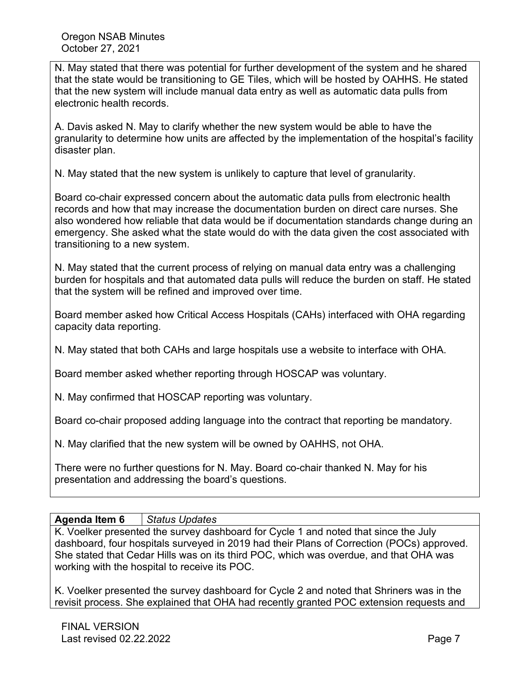N. May stated that there was potential for further development of the system and he shared that the state would be transitioning to GE Tiles, which will be hosted by OAHHS. He stated that the new system will include manual data entry as well as automatic data pulls from electronic health records.

A. Davis asked N. May to clarify whether the new system would be able to have the granularity to determine how units are affected by the implementation of the hospital's facility disaster plan.

N. May stated that the new system is unlikely to capture that level of granularity.

Board co-chair expressed concern about the automatic data pulls from electronic health records and how that may increase the documentation burden on direct care nurses. She also wondered how reliable that data would be if documentation standards change during an emergency. She asked what the state would do with the data given the cost associated with transitioning to a new system.

N. May stated that the current process of relying on manual data entry was a challenging burden for hospitals and that automated data pulls will reduce the burden on staff. He stated that the system will be refined and improved over time.

Board member asked how Critical Access Hospitals (CAHs) interfaced with OHA regarding capacity data reporting.

N. May stated that both CAHs and large hospitals use a website to interface with OHA.

Board member asked whether reporting through HOSCAP was voluntary.

N. May confirmed that HOSCAP reporting was voluntary.

Board co-chair proposed adding language into the contract that reporting be mandatory.

N. May clarified that the new system will be owned by OAHHS, not OHA.

There were no further questions for N. May. Board co-chair thanked N. May for his presentation and addressing the board's questions.

## **Agenda Item 6** *Status Updates*

K. Voelker presented the survey dashboard for Cycle 1 and noted that since the July dashboard, four hospitals surveyed in 2019 had their Plans of Correction (POCs) approved. She stated that Cedar Hills was on its third POC, which was overdue, and that OHA was working with the hospital to receive its POC.

K. Voelker presented the survey dashboard for Cycle 2 and noted that Shriners was in the revisit process. She explained that OHA had recently granted POC extension requests and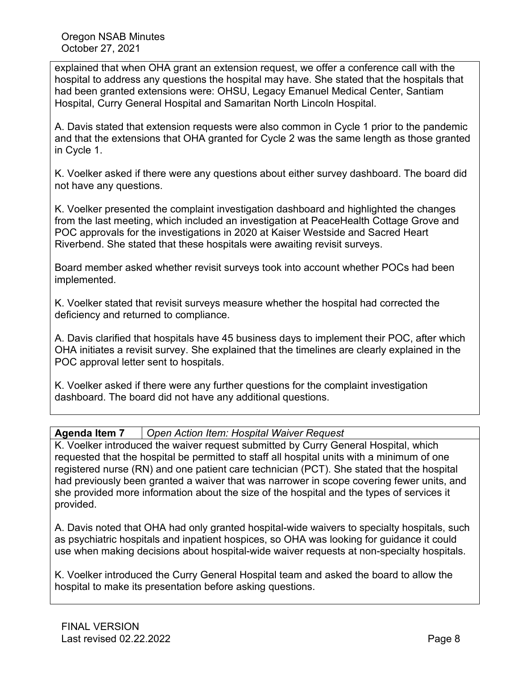explained that when OHA grant an extension request, we offer a conference call with the hospital to address any questions the hospital may have. She stated that the hospitals that had been granted extensions were: OHSU, Legacy Emanuel Medical Center, Santiam Hospital, Curry General Hospital and Samaritan North Lincoln Hospital.

A. Davis stated that extension requests were also common in Cycle 1 prior to the pandemic and that the extensions that OHA granted for Cycle 2 was the same length as those granted in Cycle 1.

K. Voelker asked if there were any questions about either survey dashboard. The board did not have any questions.

K. Voelker presented the complaint investigation dashboard and highlighted the changes from the last meeting, which included an investigation at PeaceHealth Cottage Grove and POC approvals for the investigations in 2020 at Kaiser Westside and Sacred Heart Riverbend. She stated that these hospitals were awaiting revisit surveys.

Board member asked whether revisit surveys took into account whether POCs had been implemented.

K. Voelker stated that revisit surveys measure whether the hospital had corrected the deficiency and returned to compliance.

A. Davis clarified that hospitals have 45 business days to implement their POC, after which OHA initiates a revisit survey. She explained that the timelines are clearly explained in the POC approval letter sent to hospitals.

K. Voelker asked if there were any further questions for the complaint investigation dashboard. The board did not have any additional questions.

## **Agenda Item 7** *Open Action Item: Hospital Waiver Request*

K. Voelker introduced the waiver request submitted by Curry General Hospital, which requested that the hospital be permitted to staff all hospital units with a minimum of one registered nurse (RN) and one patient care technician (PCT). She stated that the hospital had previously been granted a waiver that was narrower in scope covering fewer units, and she provided more information about the size of the hospital and the types of services it provided.

A. Davis noted that OHA had only granted hospital-wide waivers to specialty hospitals, such as psychiatric hospitals and inpatient hospices, so OHA was looking for guidance it could use when making decisions about hospital-wide waiver requests at non-specialty hospitals.

K. Voelker introduced the Curry General Hospital team and asked the board to allow the hospital to make its presentation before asking questions.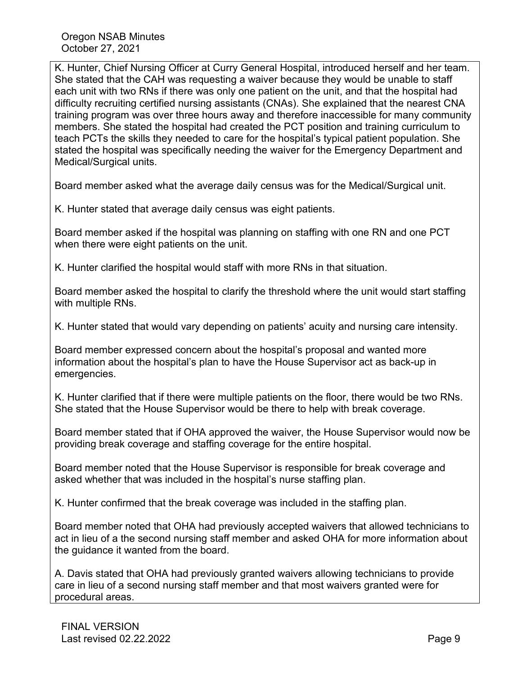K. Hunter, Chief Nursing Officer at Curry General Hospital, introduced herself and her team. She stated that the CAH was requesting a waiver because they would be unable to staff each unit with two RNs if there was only one patient on the unit, and that the hospital had difficulty recruiting certified nursing assistants (CNAs). She explained that the nearest CNA training program was over three hours away and therefore inaccessible for many community members. She stated the hospital had created the PCT position and training curriculum to teach PCTs the skills they needed to care for the hospital's typical patient population. She stated the hospital was specifically needing the waiver for the Emergency Department and Medical/Surgical units.

Board member asked what the average daily census was for the Medical/Surgical unit.

K. Hunter stated that average daily census was eight patients.

Board member asked if the hospital was planning on staffing with one RN and one PCT when there were eight patients on the unit.

K. Hunter clarified the hospital would staff with more RNs in that situation.

Board member asked the hospital to clarify the threshold where the unit would start staffing with multiple RNs.

K. Hunter stated that would vary depending on patients' acuity and nursing care intensity.

Board member expressed concern about the hospital's proposal and wanted more information about the hospital's plan to have the House Supervisor act as back-up in emergencies.

K. Hunter clarified that if there were multiple patients on the floor, there would be two RNs. She stated that the House Supervisor would be there to help with break coverage.

Board member stated that if OHA approved the waiver, the House Supervisor would now be providing break coverage and staffing coverage for the entire hospital.

Board member noted that the House Supervisor is responsible for break coverage and asked whether that was included in the hospital's nurse staffing plan.

K. Hunter confirmed that the break coverage was included in the staffing plan.

Board member noted that OHA had previously accepted waivers that allowed technicians to act in lieu of a the second nursing staff member and asked OHA for more information about the guidance it wanted from the board.

A. Davis stated that OHA had previously granted waivers allowing technicians to provide care in lieu of a second nursing staff member and that most waivers granted were for procedural areas.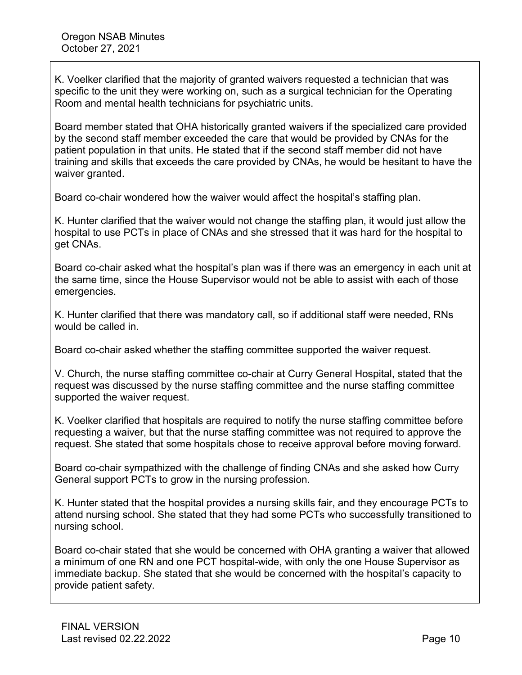K. Voelker clarified that the majority of granted waivers requested a technician that was specific to the unit they were working on, such as a surgical technician for the Operating Room and mental health technicians for psychiatric units.

Board member stated that OHA historically granted waivers if the specialized care provided by the second staff member exceeded the care that would be provided by CNAs for the patient population in that units. He stated that if the second staff member did not have training and skills that exceeds the care provided by CNAs, he would be hesitant to have the waiver granted.

Board co-chair wondered how the waiver would affect the hospital's staffing plan.

K. Hunter clarified that the waiver would not change the staffing plan, it would just allow the hospital to use PCTs in place of CNAs and she stressed that it was hard for the hospital to get CNAs.

Board co-chair asked what the hospital's plan was if there was an emergency in each unit at the same time, since the House Supervisor would not be able to assist with each of those emergencies.

K. Hunter clarified that there was mandatory call, so if additional staff were needed, RNs would be called in.

Board co-chair asked whether the staffing committee supported the waiver request.

V. Church, the nurse staffing committee co-chair at Curry General Hospital, stated that the request was discussed by the nurse staffing committee and the nurse staffing committee supported the waiver request.

K. Voelker clarified that hospitals are required to notify the nurse staffing committee before requesting a waiver, but that the nurse staffing committee was not required to approve the request. She stated that some hospitals chose to receive approval before moving forward.

Board co-chair sympathized with the challenge of finding CNAs and she asked how Curry General support PCTs to grow in the nursing profession.

K. Hunter stated that the hospital provides a nursing skills fair, and they encourage PCTs to attend nursing school. She stated that they had some PCTs who successfully transitioned to nursing school.

Board co-chair stated that she would be concerned with OHA granting a waiver that allowed a minimum of one RN and one PCT hospital-wide, with only the one House Supervisor as immediate backup. She stated that she would be concerned with the hospital's capacity to provide patient safety.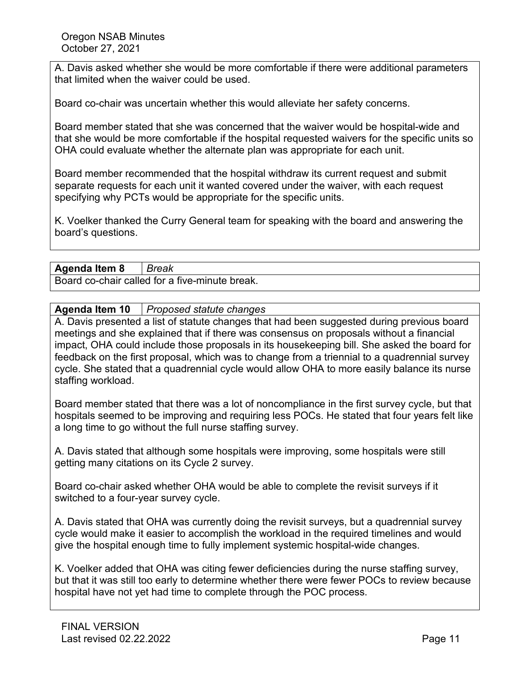A. Davis asked whether she would be more comfortable if there were additional parameters that limited when the waiver could be used.

Board co-chair was uncertain whether this would alleviate her safety concerns.

Board member stated that she was concerned that the waiver would be hospital-wide and that she would be more comfortable if the hospital requested waivers for the specific units so OHA could evaluate whether the alternate plan was appropriate for each unit.

Board member recommended that the hospital withdraw its current request and submit separate requests for each unit it wanted covered under the waiver, with each request specifying why PCTs would be appropriate for the specific units.

K. Voelker thanked the Curry General team for speaking with the board and answering the board's questions.

### **Agenda Item 8** *Break*

Board co-chair called for a five-minute break.

#### **Agenda Item 10** *Proposed statute changes*

A. Davis presented a list of statute changes that had been suggested during previous board meetings and she explained that if there was consensus on proposals without a financial impact, OHA could include those proposals in its housekeeping bill. She asked the board for feedback on the first proposal, which was to change from a triennial to a quadrennial survey cycle. She stated that a quadrennial cycle would allow OHA to more easily balance its nurse staffing workload.

Board member stated that there was a lot of noncompliance in the first survey cycle, but that hospitals seemed to be improving and requiring less POCs. He stated that four years felt like a long time to go without the full nurse staffing survey.

A. Davis stated that although some hospitals were improving, some hospitals were still getting many citations on its Cycle 2 survey.

Board co-chair asked whether OHA would be able to complete the revisit surveys if it switched to a four-year survey cycle.

A. Davis stated that OHA was currently doing the revisit surveys, but a quadrennial survey cycle would make it easier to accomplish the workload in the required timelines and would give the hospital enough time to fully implement systemic hospital-wide changes.

K. Voelker added that OHA was citing fewer deficiencies during the nurse staffing survey, but that it was still too early to determine whether there were fewer POCs to review because hospital have not yet had time to complete through the POC process.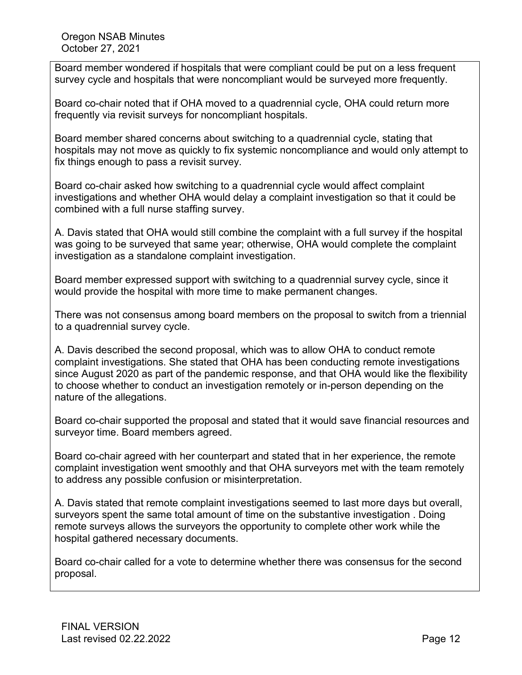Board member wondered if hospitals that were compliant could be put on a less frequent survey cycle and hospitals that were noncompliant would be surveyed more frequently.

Board co-chair noted that if OHA moved to a quadrennial cycle, OHA could return more frequently via revisit surveys for noncompliant hospitals.

Board member shared concerns about switching to a quadrennial cycle, stating that hospitals may not move as quickly to fix systemic noncompliance and would only attempt to fix things enough to pass a revisit survey.

Board co-chair asked how switching to a quadrennial cycle would affect complaint investigations and whether OHA would delay a complaint investigation so that it could be combined with a full nurse staffing survey.

A. Davis stated that OHA would still combine the complaint with a full survey if the hospital was going to be surveyed that same year; otherwise, OHA would complete the complaint investigation as a standalone complaint investigation.

Board member expressed support with switching to a quadrennial survey cycle, since it would provide the hospital with more time to make permanent changes.

There was not consensus among board members on the proposal to switch from a triennial to a quadrennial survey cycle.

A. Davis described the second proposal, which was to allow OHA to conduct remote complaint investigations. She stated that OHA has been conducting remote investigations since August 2020 as part of the pandemic response, and that OHA would like the flexibility to choose whether to conduct an investigation remotely or in-person depending on the nature of the allegations.

Board co-chair supported the proposal and stated that it would save financial resources and surveyor time. Board members agreed.

Board co-chair agreed with her counterpart and stated that in her experience, the remote complaint investigation went smoothly and that OHA surveyors met with the team remotely to address any possible confusion or misinterpretation.

A. Davis stated that remote complaint investigations seemed to last more days but overall, surveyors spent the same total amount of time on the substantive investigation . Doing remote surveys allows the surveyors the opportunity to complete other work while the hospital gathered necessary documents.

Board co-chair called for a vote to determine whether there was consensus for the second proposal.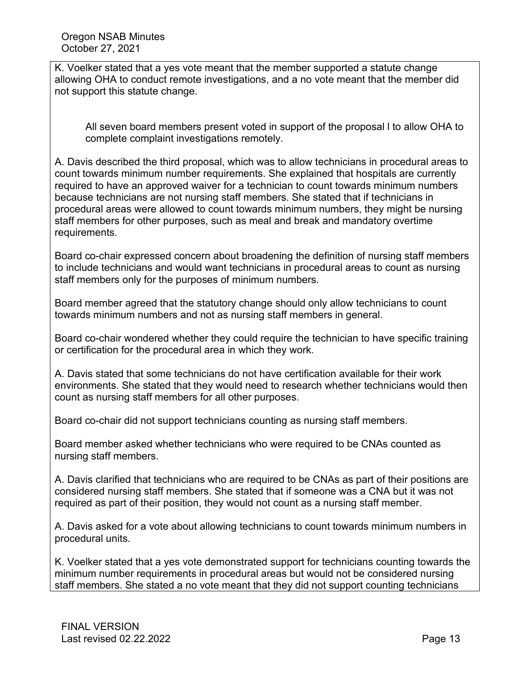K. Voelker stated that a yes vote meant that the member supported a statute change allowing OHA to conduct remote investigations, and a no vote meant that the member did not support this statute change.

All seven board members present voted in support of the proposal l to allow OHA to complete complaint investigations remotely.

A. Davis described the third proposal, which was to allow technicians in procedural areas to count towards minimum number requirements. She explained that hospitals are currently required to have an approved waiver for a technician to count towards minimum numbers because technicians are not nursing staff members. She stated that if technicians in procedural areas were allowed to count towards minimum numbers, they might be nursing staff members for other purposes, such as meal and break and mandatory overtime requirements.

Board co-chair expressed concern about broadening the definition of nursing staff members to include technicians and would want technicians in procedural areas to count as nursing staff members only for the purposes of minimum numbers.

Board member agreed that the statutory change should only allow technicians to count towards minimum numbers and not as nursing staff members in general.

Board co-chair wondered whether they could require the technician to have specific training or certification for the procedural area in which they work.

A. Davis stated that some technicians do not have certification available for their work environments. She stated that they would need to research whether technicians would then count as nursing staff members for all other purposes.

Board co-chair did not support technicians counting as nursing staff members.

Board member asked whether technicians who were required to be CNAs counted as nursing staff members.

A. Davis clarified that technicians who are required to be CNAs as part of their positions are considered nursing staff members. She stated that if someone was a CNA but it was not required as part of their position, they would not count as a nursing staff member.

A. Davis asked for a vote about allowing technicians to count towards minimum numbers in procedural units.

K. Voelker stated that a yes vote demonstrated support for technicians counting towards the minimum number requirements in procedural areas but would not be considered nursing staff members. She stated a no vote meant that they did not support counting technicians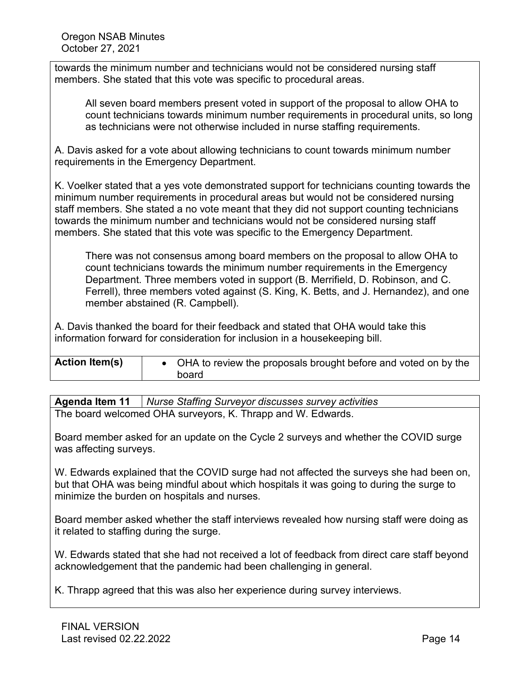towards the minimum number and technicians would not be considered nursing staff members. She stated that this vote was specific to procedural areas.

All seven board members present voted in support of the proposal to allow OHA to count technicians towards minimum number requirements in procedural units, so long as technicians were not otherwise included in nurse staffing requirements.

A. Davis asked for a vote about allowing technicians to count towards minimum number requirements in the Emergency Department.

K. Voelker stated that a yes vote demonstrated support for technicians counting towards the minimum number requirements in procedural areas but would not be considered nursing staff members. She stated a no vote meant that they did not support counting technicians towards the minimum number and technicians would not be considered nursing staff members. She stated that this vote was specific to the Emergency Department.

There was not consensus among board members on the proposal to allow OHA to count technicians towards the minimum number requirements in the Emergency Department. Three members voted in support (B. Merrifield, D. Robinson, and C. Ferrell), three members voted against (S. King, K. Betts, and J. Hernandez), and one member abstained (R. Campbell).

A. Davis thanked the board for their feedback and stated that OHA would take this information forward for consideration for inclusion in a housekeeping bill.

| <b>Action Item(s)</b> | • OHA to review the proposals brought before and voted on by the |
|-----------------------|------------------------------------------------------------------|
|                       | board                                                            |

**Agenda Item 11** *Nurse Staffing Surveyor discusses survey activities* The board welcomed OHA surveyors, K. Thrapp and W. Edwards.

Board member asked for an update on the Cycle 2 surveys and whether the COVID surge was affecting surveys.

W. Edwards explained that the COVID surge had not affected the surveys she had been on, but that OHA was being mindful about which hospitals it was going to during the surge to minimize the burden on hospitals and nurses.

Board member asked whether the staff interviews revealed how nursing staff were doing as it related to staffing during the surge.

W. Edwards stated that she had not received a lot of feedback from direct care staff beyond acknowledgement that the pandemic had been challenging in general.

K. Thrapp agreed that this was also her experience during survey interviews.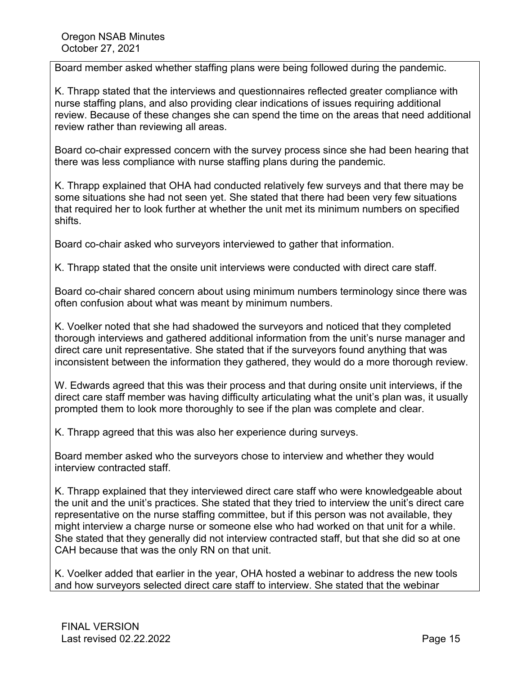Board member asked whether staffing plans were being followed during the pandemic.

K. Thrapp stated that the interviews and questionnaires reflected greater compliance with nurse staffing plans, and also providing clear indications of issues requiring additional review. Because of these changes she can spend the time on the areas that need additional review rather than reviewing all areas.

Board co-chair expressed concern with the survey process since she had been hearing that there was less compliance with nurse staffing plans during the pandemic.

K. Thrapp explained that OHA had conducted relatively few surveys and that there may be some situations she had not seen yet. She stated that there had been very few situations that required her to look further at whether the unit met its minimum numbers on specified shifts.

Board co-chair asked who surveyors interviewed to gather that information.

K. Thrapp stated that the onsite unit interviews were conducted with direct care staff.

Board co-chair shared concern about using minimum numbers terminology since there was often confusion about what was meant by minimum numbers.

K. Voelker noted that she had shadowed the surveyors and noticed that they completed thorough interviews and gathered additional information from the unit's nurse manager and direct care unit representative. She stated that if the surveyors found anything that was inconsistent between the information they gathered, they would do a more thorough review.

W. Edwards agreed that this was their process and that during onsite unit interviews, if the direct care staff member was having difficulty articulating what the unit's plan was, it usually prompted them to look more thoroughly to see if the plan was complete and clear.

K. Thrapp agreed that this was also her experience during surveys.

Board member asked who the surveyors chose to interview and whether they would interview contracted staff.

K. Thrapp explained that they interviewed direct care staff who were knowledgeable about the unit and the unit's practices. She stated that they tried to interview the unit's direct care representative on the nurse staffing committee, but if this person was not available, they might interview a charge nurse or someone else who had worked on that unit for a while. She stated that they generally did not interview contracted staff, but that she did so at one CAH because that was the only RN on that unit.

K. Voelker added that earlier in the year, OHA hosted a webinar to address the new tools and how surveyors selected direct care staff to interview. She stated that the webinar